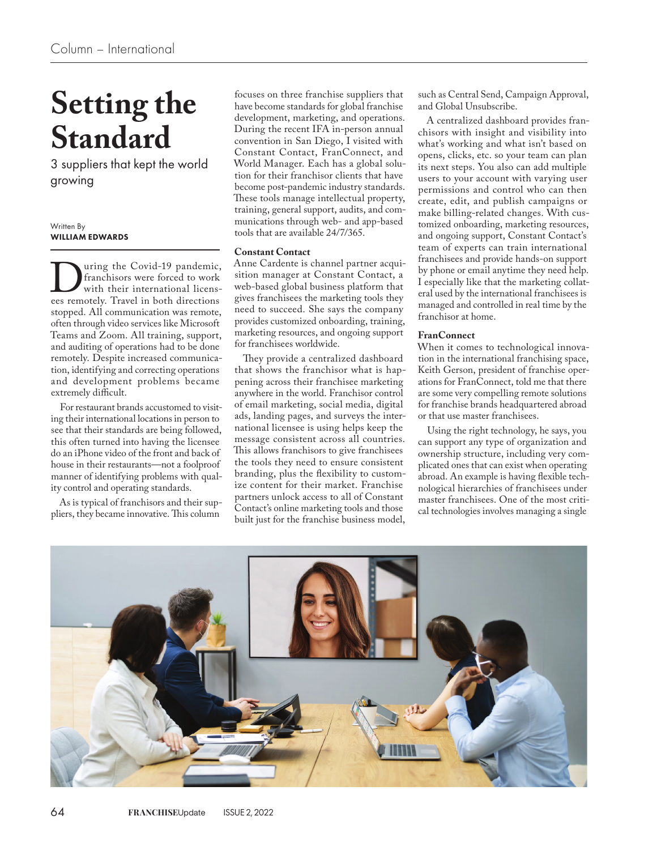# **Setting the Standard**

3 suppliers that kept the world growing

### Written By WILLIAM EDWARDS

**Example 19 pandemic,**<br>
franchisors were forced to work<br>
with their international licens-<br>
ees remotely. Travel in both directions franchisors were forced to work with their international licensstopped. All communication was remote, often through video services like Microsoft Teams and Zoom. All training, support, and auditing of operations had to be done remotely. Despite increased communication, identifying and correcting operations and development problems became extremely difficult.

For restaurant brands accustomed to visiting their international locations in person to see that their standards are being followed, this often turned into having the licensee do an iPhone video of the front and back of house in their restaurants—not a foolproof manner of identifying problems with quality control and operating standards.

As is typical of franchisors and their suppliers, they became innovative. This column

focuses on three franchise suppliers that have become standards for global franchise development, marketing, and operations. During the recent IFA in-person annual convention in San Diego, I visited with Constant Contact, FranConnect, and World Manager. Each has a global solution for their franchisor clients that have become post-pandemic industry standards. These tools manage intellectual property, training, general support, audits, and communications through web- and app-based tools that are available 24/7/365.

## **Constant Contact**

Anne Cardente is channel partner acquisition manager at Constant Contact, a web-based global business platform that gives franchisees the marketing tools they need to succeed. She says the company provides customized onboarding, training, marketing resources, and ongoing support for franchisees worldwide.

They provide a centralized dashboard that shows the franchisor what is happening across their franchisee marketing anywhere in the world. Franchisor control of email marketing, social media, digital ads, landing pages, and surveys the international licensee is using helps keep the message consistent across all countries. This allows franchisors to give franchisees the tools they need to ensure consistent branding, plus the flexibility to customize content for their market. Franchise partners unlock access to all of Constant Contact's online marketing tools and those built just for the franchise business model,

such as Central Send, Campaign Approval, and Global Unsubscribe.

A centralized dashboard provides franchisors with insight and visibility into what's working and what isn't based on opens, clicks, etc. so your team can plan its next steps. You also can add multiple users to your account with varying user permissions and control who can then create, edit, and publish campaigns or make billing-related changes. With customized onboarding, marketing resources, and ongoing support, Constant Contact's team of experts can train international franchisees and provide hands-on support by phone or email anytime they need help. I especially like that the marketing collateral used by the international franchisees is managed and controlled in real time by the franchisor at home.

## **FranConnect**

When it comes to technological innovation in the international franchising space, Keith Gerson, president of franchise operations for FranConnect, told me that there are some very compelling remote solutions for franchise brands headquartered abroad or that use master franchisees.

Using the right technology, he says, you can support any type of organization and ownership structure, including very complicated ones that can exist when operating abroad. An example is having flexible technological hierarchies of franchisees under master franchisees. One of the most critical technologies involves managing a single